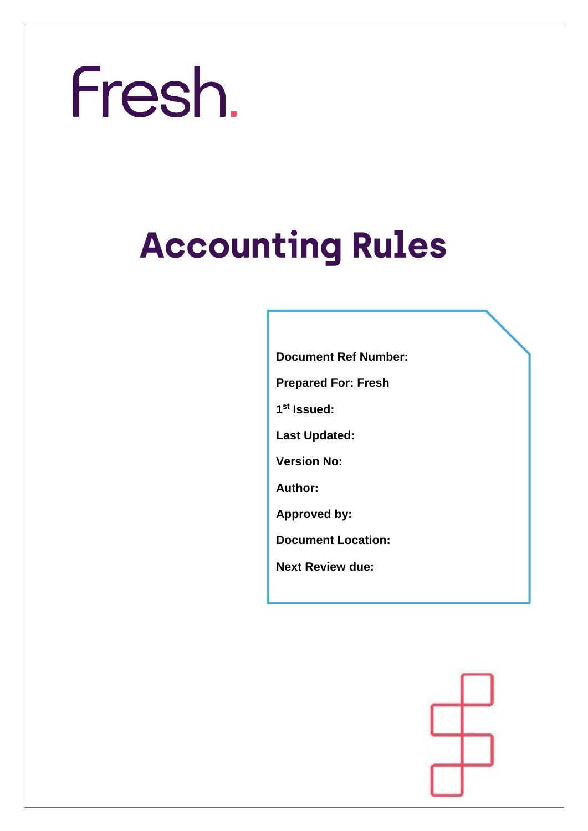## **Accounting Rules**

**Document Ref Number:** 

**Prepared For: Fresh**

**1 st Issued:**

**Last Updated:** 

**Version No:** 

**Author:** 

**Approved by:**

**Document Location:** 

**Next Review due:** 

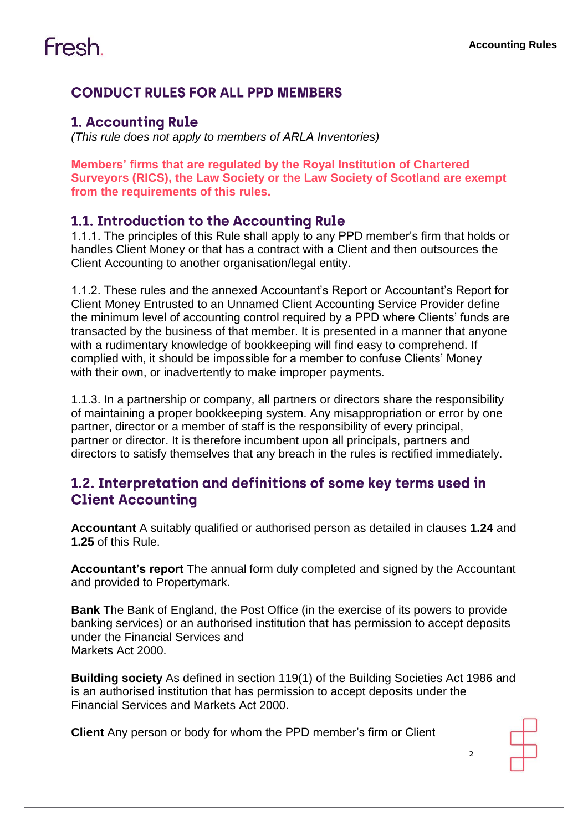#### **CONDUCT RULES FOR ALL PPD MEMBERS**

#### **1. Accounting Rule**

*(This rule does not apply to members of ARLA Inventories)*

**Members' firms that are regulated by the Royal Institution of Chartered Surveyors (RICS), the Law Society or the Law Society of Scotland are exempt from the requirements of this rules.**

#### 1.1. Introduction to the Accounting Rule

1.1.1. The principles of this Rule shall apply to any PPD member's firm that holds or handles Client Money or that has a contract with a Client and then outsources the Client Accounting to another organisation/legal entity.

1.1.2. These rules and the annexed Accountant's Report or Accountant's Report for Client Money Entrusted to an Unnamed Client Accounting Service Provider define the minimum level of accounting control required by a PPD where Clients' funds are transacted by the business of that member. It is presented in a manner that anyone with a rudimentary knowledge of bookkeeping will find easy to comprehend. If complied with, it should be impossible for a member to confuse Clients' Money with their own, or inadvertently to make improper payments.

1.1.3. In a partnership or company, all partners or directors share the responsibility of maintaining a proper bookkeeping system. Any misappropriation or error by one partner, director or a member of staff is the responsibility of every principal, partner or director. It is therefore incumbent upon all principals, partners and directors to satisfy themselves that any breach in the rules is rectified immediately.

#### 1.2. Interpretation and definitions of some key terms used in **Client Accounting**

**Accountant** A suitably qualified or authorised person as detailed in clauses **1.24** and **1.25** of this Rule.

**Accountant's report** The annual form duly completed and signed by the Accountant and provided to Propertymark.

**Bank** The Bank of England, the Post Office (in the exercise of its powers to provide banking services) or an authorised institution that has permission to accept deposits under the Financial Services and Markets Act 2000.

**Building society** As defined in section 119(1) of the Building Societies Act 1986 and is an authorised institution that has permission to accept deposits under the Financial Services and Markets Act 2000.

**Client** Any person or body for whom the PPD member's firm or Client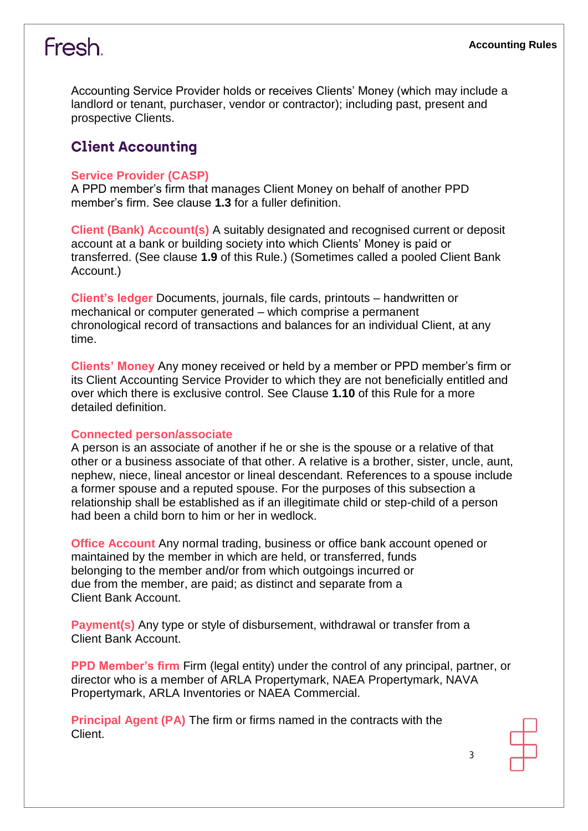Accounting Service Provider holds or receives Clients' Money (which may include a landlord or tenant, purchaser, vendor or contractor); including past, present and prospective Clients.

#### **Client Accounting**

#### **Service Provider (CASP)**

A PPD member's firm that manages Client Money on behalf of another PPD member's firm. See clause **1.3** for a fuller definition.

**Client (Bank) Account(s)** A suitably designated and recognised current or deposit account at a bank or building society into which Clients' Money is paid or transferred. (See clause **1.9** of this Rule.) (Sometimes called a pooled Client Bank Account.)

**Client's ledger** Documents, journals, file cards, printouts – handwritten or mechanical or computer generated – which comprise a permanent chronological record of transactions and balances for an individual Client, at any time.

**Clients' Money** Any money received or held by a member or PPD member's firm or its Client Accounting Service Provider to which they are not beneficially entitled and over which there is exclusive control. See Clause **1.10** of this Rule for a more detailed definition.

#### **Connected person/associate**

A person is an associate of another if he or she is the spouse or a relative of that other or a business associate of that other. A relative is a brother, sister, uncle, aunt, nephew, niece, lineal ancestor or lineal descendant. References to a spouse include a former spouse and a reputed spouse. For the purposes of this subsection a relationship shall be established as if an illegitimate child or step-child of a person had been a child born to him or her in wedlock.

**Office Account** Any normal trading, business or office bank account opened or maintained by the member in which are held, or transferred, funds belonging to the member and/or from which outgoings incurred or due from the member, are paid; as distinct and separate from a Client Bank Account.

**Payment(s)** Any type or style of disbursement, withdrawal or transfer from a Client Bank Account.

**PPD Member's firm Firm (legal entity) under the control of any principal, partner, or** director who is a member of ARLA Propertymark, NAEA Propertymark, NAVA Propertymark, ARLA Inventories or NAEA Commercial.

**Principal Agent (PA)** The firm or firms named in the contracts with the Client.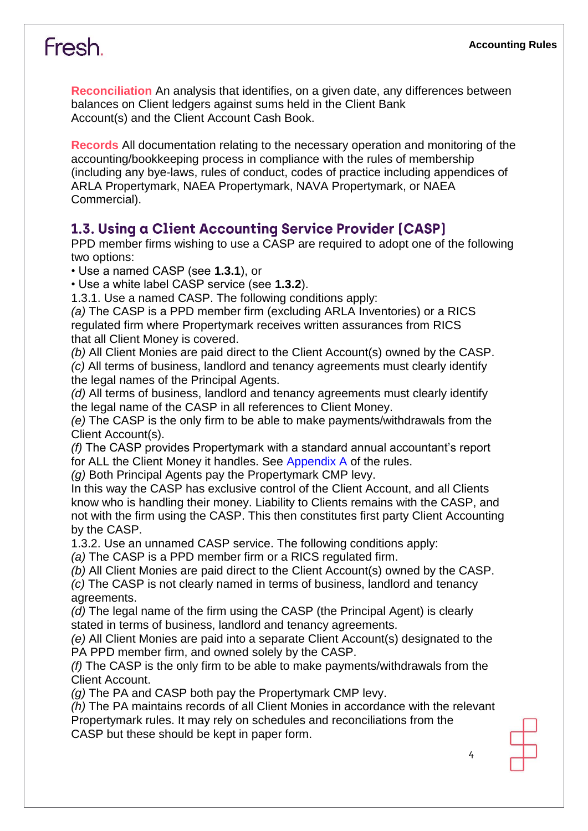**Reconciliation** An analysis that identifies, on a given date, any differences between balances on Client ledgers against sums held in the Client Bank Account(s) and the Client Account Cash Book.

**Records** All documentation relating to the necessary operation and monitoring of the accounting/bookkeeping process in compliance with the rules of membership (including any bye-laws, rules of conduct, codes of practice including appendices of ARLA Propertymark, NAEA Propertymark, NAVA Propertymark, or NAEA Commercial).

#### 1.3. Using a Client Accounting Service Provider [CASP]

PPD member firms wishing to use a CASP are required to adopt one of the following two options:

• Use a named CASP (see **1.3.1**), or

• Use a white label CASP service (see **1.3.2**).

1.3.1. Use a named CASP. The following conditions apply:

*(a)* The CASP is a PPD member firm (excluding ARLA Inventories) or a RICS regulated firm where Propertymark receives written assurances from RICS that all Client Money is covered.

*(b)* All Client Monies are paid direct to the Client Account(s) owned by the CASP. *(c)* All terms of business, landlord and tenancy agreements must clearly identify the legal names of the Principal Agents.

*(d)* All terms of business, landlord and tenancy agreements must clearly identify the legal name of the CASP in all references to Client Money.

*(e)* The CASP is the only firm to be able to make payments/withdrawals from the Client Account(s).

*(f)* The CASP provides Propertymark with a standard annual accountant's report for ALL the Client Money it handles. See Appendix A of the rules.

*(g)* Both Principal Agents pay the Propertymark CMP levy.

In this way the CASP has exclusive control of the Client Account, and all Clients know who is handling their money. Liability to Clients remains with the CASP, and not with the firm using the CASP. This then constitutes first party Client Accounting by the CASP.

1.3.2. Use an unnamed CASP service. The following conditions apply:

*(a)* The CASP is a PPD member firm or a RICS regulated firm.

*(b)* All Client Monies are paid direct to the Client Account(s) owned by the CASP.

*(c)* The CASP is not clearly named in terms of business, landlord and tenancy agreements.

*(d)* The legal name of the firm using the CASP (the Principal Agent) is clearly stated in terms of business, landlord and tenancy agreements.

*(e)* All Client Monies are paid into a separate Client Account(s) designated to the PA PPD member firm, and owned solely by the CASP.

*(f)* The CASP is the only firm to be able to make payments/withdrawals from the Client Account.

*(g)* The PA and CASP both pay the Propertymark CMP levy.

*(h)* The PA maintains records of all Client Monies in accordance with the relevant Propertymark rules. It may rely on schedules and reconciliations from the CASP but these should be kept in paper form.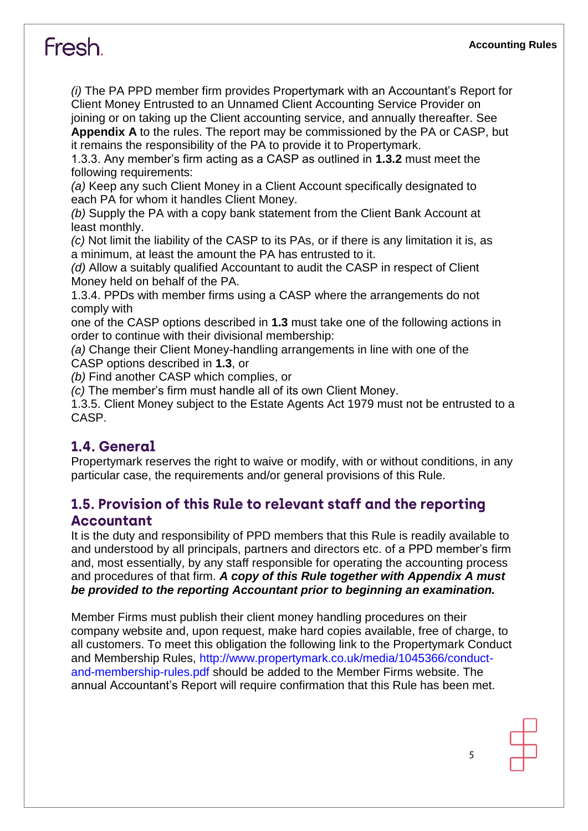*(i)* The PA PPD member firm provides Propertymark with an Accountant's Report for Client Money Entrusted to an Unnamed Client Accounting Service Provider on joining or on taking up the Client accounting service, and annually thereafter. See

**Appendix A** to the rules. The report may be commissioned by the PA or CASP, but it remains the responsibility of the PA to provide it to Propertymark.

1.3.3. Any member's firm acting as a CASP as outlined in **1.3.2** must meet the following requirements:

*(a)* Keep any such Client Money in a Client Account specifically designated to each PA for whom it handles Client Money.

*(b)* Supply the PA with a copy bank statement from the Client Bank Account at least monthly.

*(c)* Not limit the liability of the CASP to its PAs, or if there is any limitation it is, as a minimum, at least the amount the PA has entrusted to it.

*(d)* Allow a suitably qualified Accountant to audit the CASP in respect of Client Money held on behalf of the PA.

1.3.4. PPDs with member firms using a CASP where the arrangements do not comply with

one of the CASP options described in **1.3** must take one of the following actions in order to continue with their divisional membership:

*(a)* Change their Client Money-handling arrangements in line with one of the CASP options described in **1.3**, or

*(b)* Find another CASP which complies, or

*(c)* The member's firm must handle all of its own Client Money.

1.3.5. Client Money subject to the Estate Agents Act 1979 must not be entrusted to a CASP.

#### 1.4. General

Propertymark reserves the right to waive or modify, with or without conditions, in any particular case, the requirements and/or general provisions of this Rule.

#### 1.5. Provision of this Rule to relevant staff and the reporting **Accountant**

It is the duty and responsibility of PPD members that this Rule is readily available to and understood by all principals, partners and directors etc. of a PPD member's firm and, most essentially, by any staff responsible for operating the accounting process and procedures of that firm. *A copy of this Rule together with Appendix A must be provided to the reporting Accountant prior to beginning an examination.*

Member Firms must publish their client money handling procedures on their company website and, upon request, make hard copies available, free of charge, to all customers. To meet this obligation the following link to the Propertymark Conduct and Membership Rules, http://www.propertymark.co.uk/media/1045366/conductand-membership-rules.pdf should be added to the Member Firms website. The annual Accountant's Report will require confirmation that this Rule has been met.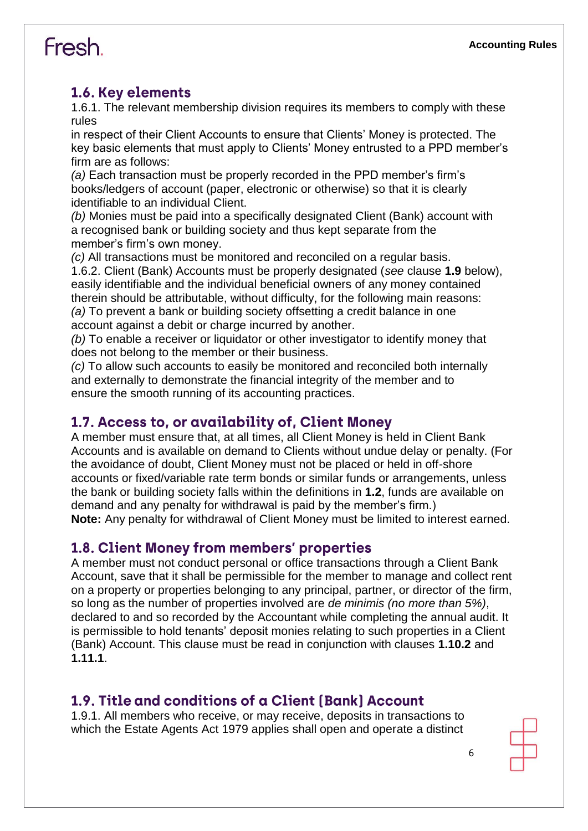#### 1.6. Key elements

1.6.1. The relevant membership division requires its members to comply with these rules

in respect of their Client Accounts to ensure that Clients' Money is protected. The key basic elements that must apply to Clients' Money entrusted to a PPD member's firm are as follows:

*(a)* Each transaction must be properly recorded in the PPD member's firm's books/ledgers of account (paper, electronic or otherwise) so that it is clearly identifiable to an individual Client.

*(b)* Monies must be paid into a specifically designated Client (Bank) account with a recognised bank or building society and thus kept separate from the member's firm's own money.

*(c)* All transactions must be monitored and reconciled on a regular basis. 1.6.2. Client (Bank) Accounts must be properly designated (*see* clause **1.9** below), easily identifiable and the individual beneficial owners of any money contained therein should be attributable, without difficulty, for the following main reasons: *(a)* To prevent a bank or building society offsetting a credit balance in one account against a debit or charge incurred by another.

*(b)* To enable a receiver or liquidator or other investigator to identify money that does not belong to the member or their business.

*(c)* To allow such accounts to easily be monitored and reconciled both internally and externally to demonstrate the financial integrity of the member and to ensure the smooth running of its accounting practices.

#### 1.7. Access to, or availability of, Client Money

A member must ensure that, at all times, all Client Money is held in Client Bank Accounts and is available on demand to Clients without undue delay or penalty. (For the avoidance of doubt, Client Money must not be placed or held in off-shore accounts or fixed/variable rate term bonds or similar funds or arrangements, unless the bank or building society falls within the definitions in **1.2**, funds are available on demand and any penalty for withdrawal is paid by the member's firm.) **Note:** Any penalty for withdrawal of Client Money must be limited to interest earned.

#### **1.8. Client Money from members' properties**

A member must not conduct personal or office transactions through a Client Bank Account, save that it shall be permissible for the member to manage and collect rent on a property or properties belonging to any principal, partner, or director of the firm, so long as the number of properties involved are *de minimis (no more than 5%)*, declared to and so recorded by the Accountant while completing the annual audit. It is permissible to hold tenants' deposit monies relating to such properties in a Client (Bank) Account. This clause must be read in conjunction with clauses **1.10.2** and **1.11.1**.

#### 1.9. Title and conditions of a Client (Bank) Account

1.9.1. All members who receive, or may receive, deposits in transactions to which the Estate Agents Act 1979 applies shall open and operate a distinct

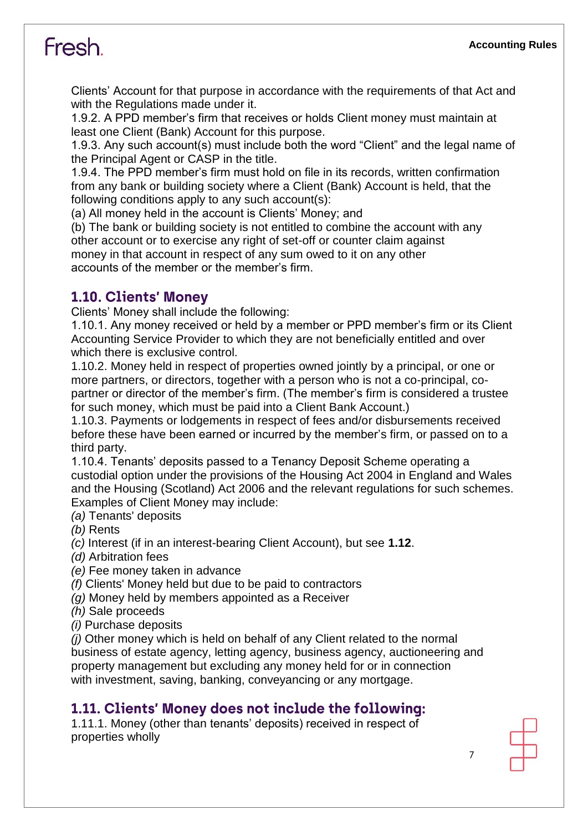Clients' Account for that purpose in accordance with the requirements of that Act and with the Regulations made under it.

1.9.2. A PPD member's firm that receives or holds Client money must maintain at least one Client (Bank) Account for this purpose.

1.9.3. Any such account(s) must include both the word "Client" and the legal name of the Principal Agent or CASP in the title.

1.9.4. The PPD member's firm must hold on file in its records, written confirmation from any bank or building society where a Client (Bank) Account is held, that the following conditions apply to any such account(s):

(a) All money held in the account is Clients' Money; and

(b) The bank or building society is not entitled to combine the account with any other account or to exercise any right of set-off or counter claim against money in that account in respect of any sum owed to it on any other accounts of the member or the member's firm.

#### **1.10. Clients' Monev**

Clients' Money shall include the following:

1.10.1. Any money received or held by a member or PPD member's firm or its Client Accounting Service Provider to which they are not beneficially entitled and over which there is exclusive control.

1.10.2. Money held in respect of properties owned jointly by a principal, or one or more partners, or directors, together with a person who is not a co-principal, copartner or director of the member's firm. (The member's firm is considered a trustee for such money, which must be paid into a Client Bank Account.)

1.10.3. Payments or lodgements in respect of fees and/or disbursements received before these have been earned or incurred by the member's firm, or passed on to a third party.

1.10.4. Tenants' deposits passed to a Tenancy Deposit Scheme operating a custodial option under the provisions of the Housing Act 2004 in England and Wales and the Housing (Scotland) Act 2006 and the relevant regulations for such schemes. Examples of Client Money may include:

*(a)* Tenants' deposits

*(b)* Rents

*(c)* Interest (if in an interest-bearing Client Account), but see **1.12**.

*(d)* Arbitration fees

*(e)* Fee money taken in advance

*(f)* Clients' Money held but due to be paid to contractors

*(g)* Money held by members appointed as a Receiver

*(h)* Sale proceeds

*(i)* Purchase deposits

*(j)* Other money which is held on behalf of any Client related to the normal business of estate agency, letting agency, business agency, auctioneering and property management but excluding any money held for or in connection with investment, saving, banking, conveyancing or any mortgage.

#### 1.11. Clients' Money does not include the following:

1.11.1. Money (other than tenants' deposits) received in respect of properties wholly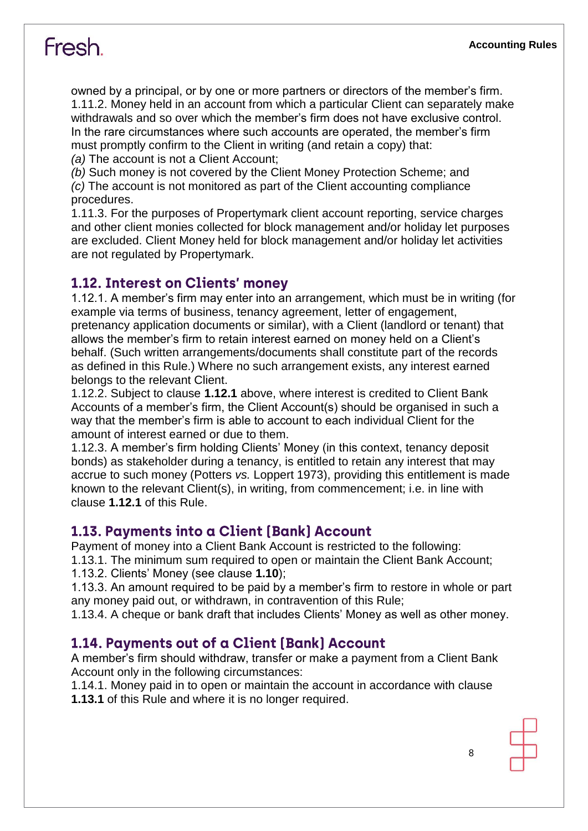owned by a principal, or by one or more partners or directors of the member's firm. 1.11.2. Money held in an account from which a particular Client can separately make withdrawals and so over which the member's firm does not have exclusive control. In the rare circumstances where such accounts are operated, the member's firm must promptly confirm to the Client in writing (and retain a copy) that:

*(a)* The account is not a Client Account;

*(b)* Such money is not covered by the Client Money Protection Scheme; and *(c)* The account is not monitored as part of the Client accounting compliance procedures.

1.11.3. For the purposes of Propertymark client account reporting, service charges and other client monies collected for block management and/or holiday let purposes are excluded. Client Money held for block management and/or holiday let activities are not regulated by Propertymark.

#### 1.12. Interest on Clients' money

1.12.1. A member's firm may enter into an arrangement, which must be in writing (for example via terms of business, tenancy agreement, letter of engagement, pretenancy application documents or similar), with a Client (landlord or tenant) that allows the member's firm to retain interest earned on money held on a Client's behalf. (Such written arrangements/documents shall constitute part of the records as defined in this Rule.) Where no such arrangement exists, any interest earned belongs to the relevant Client.

1.12.2. Subject to clause **1.12.1** above, where interest is credited to Client Bank Accounts of a member's firm, the Client Account(s) should be organised in such a way that the member's firm is able to account to each individual Client for the amount of interest earned or due to them.

1.12.3. A member's firm holding Clients' Money (in this context, tenancy deposit bonds) as stakeholder during a tenancy, is entitled to retain any interest that may accrue to such money (Potters *vs.* Loppert 1973), providing this entitlement is made known to the relevant Client(s), in writing, from commencement; i.e. in line with clause **1.12.1** of this Rule.

#### 1.13. Payments into a Client (Bank) Account

Payment of money into a Client Bank Account is restricted to the following: 1.13.1. The minimum sum required to open or maintain the Client Bank Account;

1.13.2. Clients' Money (see clause **1.10**);

1.13.3. An amount required to be paid by a member's firm to restore in whole or part any money paid out, or withdrawn, in contravention of this Rule;

1.13.4. A cheque or bank draft that includes Clients' Money as well as other money.

#### 1.14. Payments out of a Client (Bank) Account

A member's firm should withdraw, transfer or make a payment from a Client Bank Account only in the following circumstances:

1.14.1. Money paid in to open or maintain the account in accordance with clause **1.13.1** of this Rule and where it is no longer required.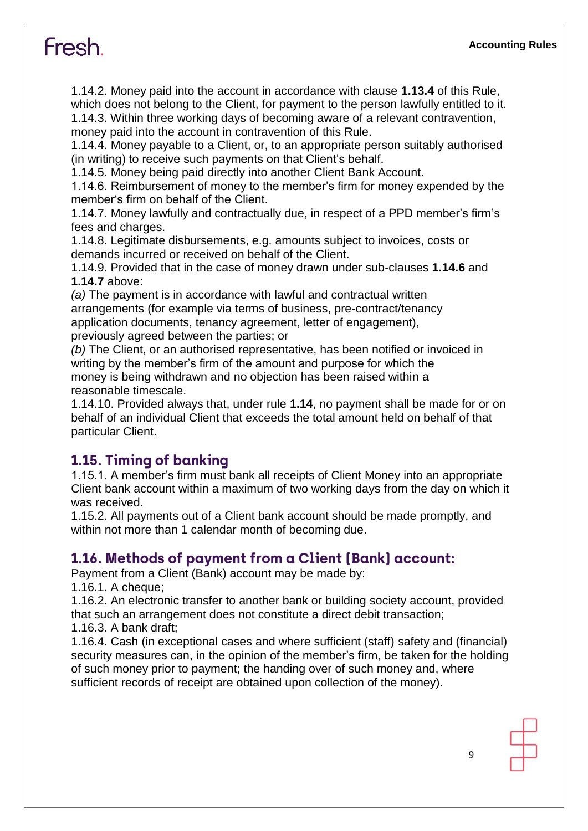1.14.2. Money paid into the account in accordance with clause **1.13.4** of this Rule, which does not belong to the Client, for payment to the person lawfully entitled to it. 1.14.3. Within three working days of becoming aware of a relevant contravention, money paid into the account in contravention of this Rule.

1.14.4. Money payable to a Client, or, to an appropriate person suitably authorised (in writing) to receive such payments on that Client's behalf.

1.14.5. Money being paid directly into another Client Bank Account.

1.14.6. Reimbursement of money to the member's firm for money expended by the member's firm on behalf of the Client.

1.14.7. Money lawfully and contractually due, in respect of a PPD member's firm's fees and charges.

1.14.8. Legitimate disbursements, e.g. amounts subject to invoices, costs or demands incurred or received on behalf of the Client.

1.14.9. Provided that in the case of money drawn under sub-clauses **1.14.6** and **1.14.7** above:

*(a)* The payment is in accordance with lawful and contractual written arrangements (for example via terms of business, pre-contract/tenancy application documents, tenancy agreement, letter of engagement), previously agreed between the parties; or

*(b)* The Client, or an authorised representative, has been notified or invoiced in writing by the member's firm of the amount and purpose for which the money is being withdrawn and no objection has been raised within a reasonable timescale.

1.14.10. Provided always that, under rule **1.14**, no payment shall be made for or on behalf of an individual Client that exceeds the total amount held on behalf of that particular Client.

#### 1.15. Timing of banking

1.15.1. A member's firm must bank all receipts of Client Money into an appropriate Client bank account within a maximum of two working days from the day on which it was received.

1.15.2. All payments out of a Client bank account should be made promptly, and within not more than 1 calendar month of becoming due.

#### 1.16. Methods of payment from a Client (Bank) account:

Payment from a Client (Bank) account may be made by:

1.16.1. A cheque;

1.16.2. An electronic transfer to another bank or building society account, provided that such an arrangement does not constitute a direct debit transaction;

1.16.3. A bank draft;

1.16.4. Cash (in exceptional cases and where sufficient (staff) safety and (financial) security measures can, in the opinion of the member's firm, be taken for the holding of such money prior to payment; the handing over of such money and, where sufficient records of receipt are obtained upon collection of the money).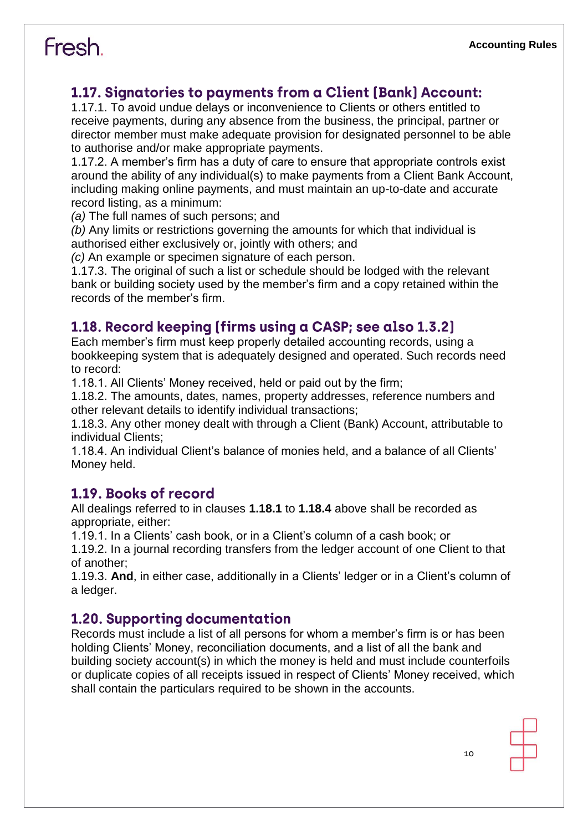#### 1.17. Signatories to payments from a Client (Bank) Account:

1.17.1. To avoid undue delays or inconvenience to Clients or others entitled to receive payments, during any absence from the business, the principal, partner or director member must make adequate provision for designated personnel to be able to authorise and/or make appropriate payments.

1.17.2. A member's firm has a duty of care to ensure that appropriate controls exist around the ability of any individual(s) to make payments from a Client Bank Account, including making online payments, and must maintain an up-to-date and accurate record listing, as a minimum:

*(a)* The full names of such persons; and

*(b)* Any limits or restrictions governing the amounts for which that individual is authorised either exclusively or, jointly with others; and

*(c)* An example or specimen signature of each person.

1.17.3. The original of such a list or schedule should be lodged with the relevant bank or building society used by the member's firm and a copy retained within the records of the member's firm.

#### 1.18. Record keeping [firms using a CASP; see also 1.3.2]

Each member's firm must keep properly detailed accounting records, using a bookkeeping system that is adequately designed and operated. Such records need to record:

1.18.1. All Clients' Money received, held or paid out by the firm;

1.18.2. The amounts, dates, names, property addresses, reference numbers and other relevant details to identify individual transactions;

1.18.3. Any other money dealt with through a Client (Bank) Account, attributable to individual Clients;

1.18.4. An individual Client's balance of monies held, and a balance of all Clients' Money held.

#### 1.19. Books of record

All dealings referred to in clauses **1.18.1** to **1.18.4** above shall be recorded as appropriate, either:

1.19.1. In a Clients' cash book, or in a Client's column of a cash book; or

1.19.2. In a journal recording transfers from the ledger account of one Client to that of another;

1.19.3. **And**, in either case, additionally in a Clients' ledger or in a Client's column of a ledger.

#### **1.20. Supporting documentation**

Records must include a list of all persons for whom a member's firm is or has been holding Clients' Money, reconciliation documents, and a list of all the bank and building society account(s) in which the money is held and must include counterfoils or duplicate copies of all receipts issued in respect of Clients' Money received, which shall contain the particulars required to be shown in the accounts.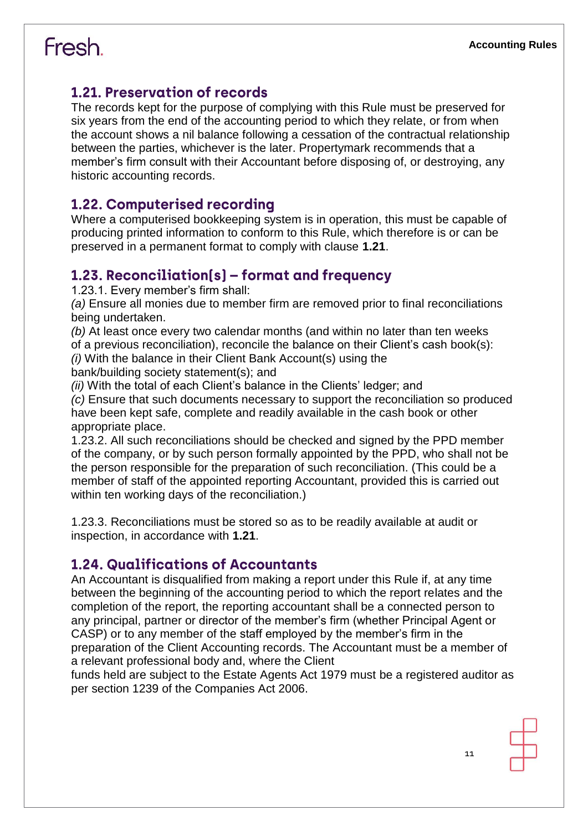#### 1.21. Preservation of records

The records kept for the purpose of complying with this Rule must be preserved for six years from the end of the accounting period to which they relate, or from when the account shows a nil balance following a cessation of the contractual relationship between the parties, whichever is the later. Propertymark recommends that a member's firm consult with their Accountant before disposing of, or destroying, any historic accounting records.

#### 1.22. Computerised recording

Where a computerised bookkeeping system is in operation, this must be capable of producing printed information to conform to this Rule, which therefore is or can be preserved in a permanent format to comply with clause **1.21**.

#### 1.23. Reconciliation(s) – format and frequency

1.23.1. Every member's firm shall:

*(a)* Ensure all monies due to member firm are removed prior to final reconciliations being undertaken.

*(b)* At least once every two calendar months (and within no later than ten weeks of a previous reconciliation), reconcile the balance on their Client's cash book(s): *(i)* With the balance in their Client Bank Account(s) using the

bank/building society statement(s); and

*(ii)* With the total of each Client's balance in the Clients' ledger; and

*(c)* Ensure that such documents necessary to support the reconciliation so produced have been kept safe, complete and readily available in the cash book or other appropriate place.

1.23.2. All such reconciliations should be checked and signed by the PPD member of the company, or by such person formally appointed by the PPD, who shall not be the person responsible for the preparation of such reconciliation. (This could be a member of staff of the appointed reporting Accountant, provided this is carried out within ten working days of the reconciliation.)

1.23.3. Reconciliations must be stored so as to be readily available at audit or inspection, in accordance with **1.21**.

#### **1.24. Qualifications of Accountants**

An Accountant is disqualified from making a report under this Rule if, at any time between the beginning of the accounting period to which the report relates and the completion of the report, the reporting accountant shall be a connected person to any principal, partner or director of the member's firm (whether Principal Agent or CASP) or to any member of the staff employed by the member's firm in the preparation of the Client Accounting records. The Accountant must be a member of a relevant professional body and, where the Client

funds held are subject to the Estate Agents Act 1979 must be a registered auditor as per section 1239 of the Companies Act 2006.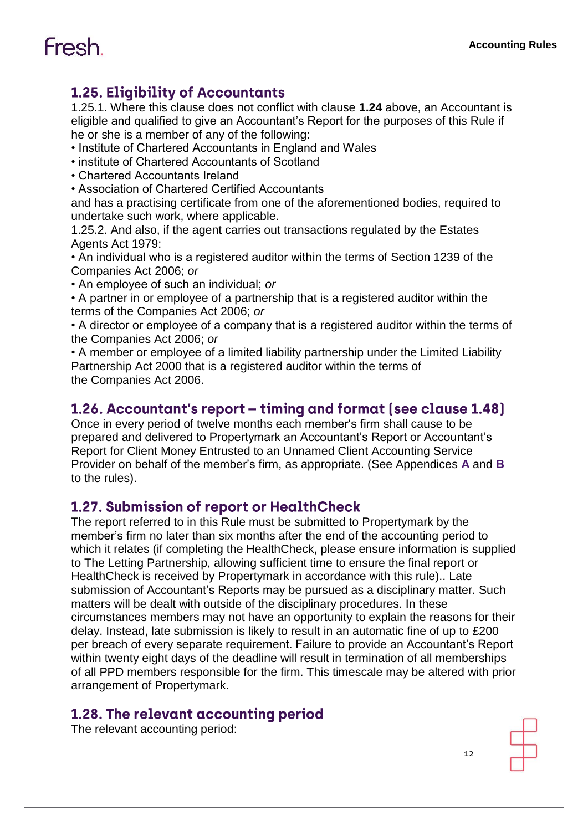#### **1.25. Eligibility of Accountants**

1.25.1. Where this clause does not conflict with clause **1.24** above, an Accountant is eligible and qualified to give an Accountant's Report for the purposes of this Rule if he or she is a member of any of the following:

- Institute of Chartered Accountants in England and Wales
- institute of Chartered Accountants of Scotland
- Chartered Accountants Ireland
- Association of Chartered Certified Accountants

and has a practising certificate from one of the aforementioned bodies, required to undertake such work, where applicable.

1.25.2. And also, if the agent carries out transactions regulated by the Estates Agents Act 1979:

• An individual who is a registered auditor within the terms of Section 1239 of the Companies Act 2006; *or*

• An employee of such an individual; *or*

• A partner in or employee of a partnership that is a registered auditor within the terms of the Companies Act 2006; *or*

• A director or employee of a company that is a registered auditor within the terms of the Companies Act 2006; *or*

• A member or employee of a limited liability partnership under the Limited Liability Partnership Act 2000 that is a registered auditor within the terms of the Companies Act 2006.

#### 1.26. Accountant's report - timing and format [see clause 1.48]

Once in every period of twelve months each member's firm shall cause to be prepared and delivered to Propertymark an Accountant's Report or Accountant's Report for Client Money Entrusted to an Unnamed Client Accounting Service Provider on behalf of the member's firm, as appropriate. (See Appendices **A** and **B**  to the rules).

#### **1.27. Submission of report or HealthCheck**

The report referred to in this Rule must be submitted to Propertymark by the member's firm no later than six months after the end of the accounting period to which it relates (if completing the HealthCheck, please ensure information is supplied to The Letting Partnership, allowing sufficient time to ensure the final report or HealthCheck is received by Propertymark in accordance with this rule).. Late submission of Accountant's Reports may be pursued as a disciplinary matter. Such matters will be dealt with outside of the disciplinary procedures. In these circumstances members may not have an opportunity to explain the reasons for their delay. Instead, late submission is likely to result in an automatic fine of up to £200 per breach of every separate requirement. Failure to provide an Accountant's Report within twenty eight days of the deadline will result in termination of all memberships of all PPD members responsible for the firm. This timescale may be altered with prior arrangement of Propertymark.

#### 1.28. The relevant accounting period

The relevant accounting period: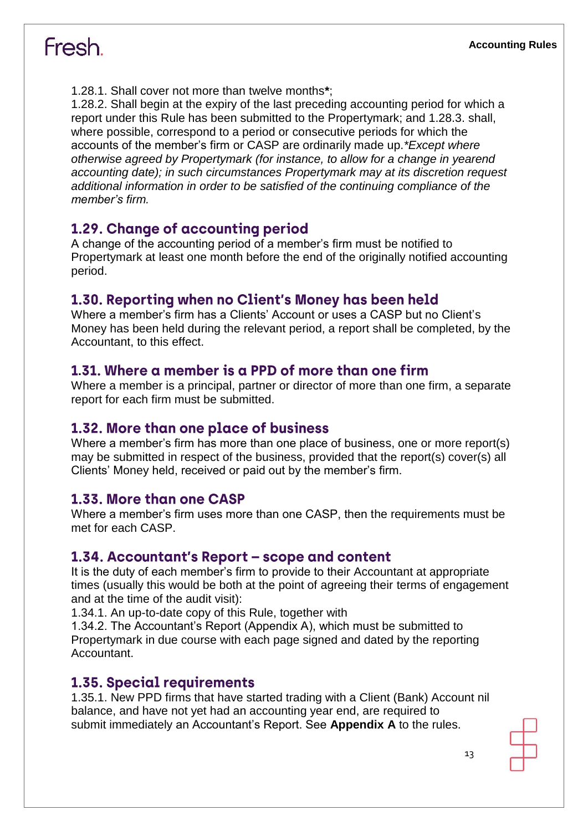1.28.1. Shall cover not more than twelve months**\***;

1.28.2. Shall begin at the expiry of the last preceding accounting period for which a report under this Rule has been submitted to the Propertymark; and 1.28.3. shall, where possible, correspond to a period or consecutive periods for which the accounts of the member's firm or CASP are ordinarily made up.*\*Except where otherwise agreed by Propertymark (for instance, to allow for a change in yearend accounting date); in such circumstances Propertymark may at its discretion request additional information in order to be satisfied of the continuing compliance of the member's firm.*

#### 1.29. Change of accounting period

A change of the accounting period of a member's firm must be notified to Propertymark at least one month before the end of the originally notified accounting period.

#### 1.30. Reporting when no Client's Money has been held

Where a member's firm has a Clients' Account or uses a CASP but no Client's Money has been held during the relevant period, a report shall be completed, by the Accountant, to this effect.

#### 1.31. Where a member is a PPD of more than one firm

Where a member is a principal, partner or director of more than one firm, a separate report for each firm must be submitted.

#### 1.32. More than one place of business

Where a member's firm has more than one place of business, one or more report(s) may be submitted in respect of the business, provided that the report(s) cover(s) all Clients' Money held, received or paid out by the member's firm.

#### 1.33. More than one CASP

Where a member's firm uses more than one CASP, then the requirements must be met for each CASP.

#### 1.34. Accountant's Report – scope and content

It is the duty of each member's firm to provide to their Accountant at appropriate times (usually this would be both at the point of agreeing their terms of engagement and at the time of the audit visit):

1.34.1. An up-to-date copy of this Rule, together with

1.34.2. The Accountant's Report (Appendix A), which must be submitted to Propertymark in due course with each page signed and dated by the reporting Accountant.

#### **1.35. Special requirements**

1.35.1. New PPD firms that have started trading with a Client (Bank) Account nil balance, and have not yet had an accounting year end, are required to submit immediately an Accountant's Report. See **Appendix A** to the rules.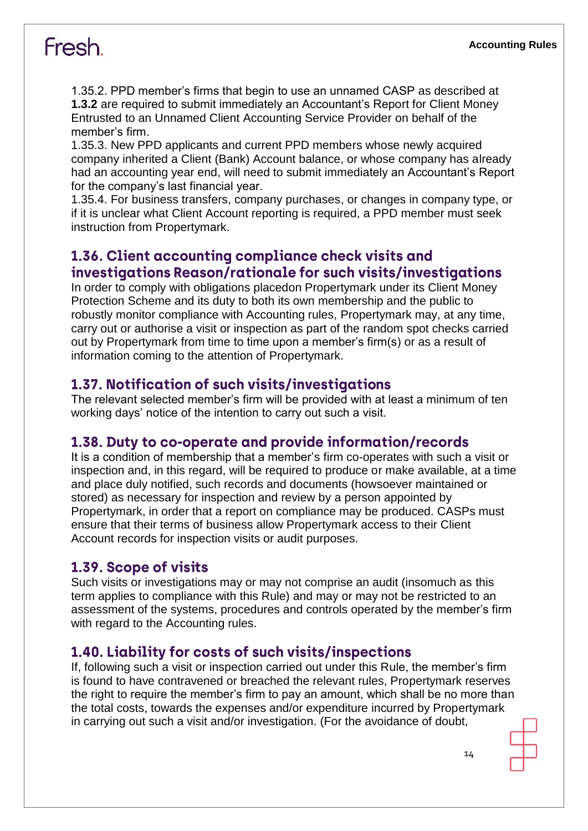1.35.2. PPD member's firms that begin to use an unnamed CASP as described at **1.3.2** are required to submit immediately an Accountant's Report for Client Money Entrusted to an Unnamed Client Accounting Service Provider on behalf of the member's firm.

1.35.3. New PPD applicants and current PPD members whose newly acquired company inherited a Client (Bank) Account balance, or whose company has already had an accounting year end, will need to submit immediately an Accountant's Report for the company's last financial year.

1.35.4. For business transfers, company purchases, or changes in company type, or if it is unclear what Client Account reporting is required, a PPD member must seek instruction from Propertymark.

#### 1.36. Client accounting compliance check visits and investigations Reason/rationale for such visits/investigations

In order to comply with obligations placedon Propertymark under its Client Money Protection Scheme and its duty to both its own membership and the public to robustly monitor compliance with Accounting rules, Propertymark may, at any time, carry out or authorise a visit or inspection as part of the random spot checks carried out by Propertymark from time to time upon a member's firm(s) or as a result of information coming to the attention of Propertymark.

#### 1.37. Notification of such visits/investigations

The relevant selected member's firm will be provided with at least a minimum of ten working days' notice of the intention to carry out such a visit.

#### 1.38. Duty to co-operate and provide information/records

It is a condition of membership that a member's firm co-operates with such a visit or inspection and, in this regard, will be required to produce or make available, at a time and place duly notified, such records and documents (howsoever maintained or stored) as necessary for inspection and review by a person appointed by Propertymark, in order that a report on compliance may be produced. CASPs must ensure that their terms of business allow Propertymark access to their Client Account records for inspection visits or audit purposes.

#### 1.39. Scope of visits

Such visits or investigations may or may not comprise an audit (insomuch as this term applies to compliance with this Rule) and may or may not be restricted to an assessment of the systems, procedures and controls operated by the member's firm with regard to the Accounting rules.

#### 1.40. Liability for costs of such visits/inspections

If, following such a visit or inspection carried out under this Rule, the member's firm is found to have contravened or breached the relevant rules, Propertymark reserves the right to require the member's firm to pay an amount, which shall be no more than the total costs, towards the expenses and/or expenditure incurred by Propertymark in carrying out such a visit and/or investigation. (For the avoidance of doubt,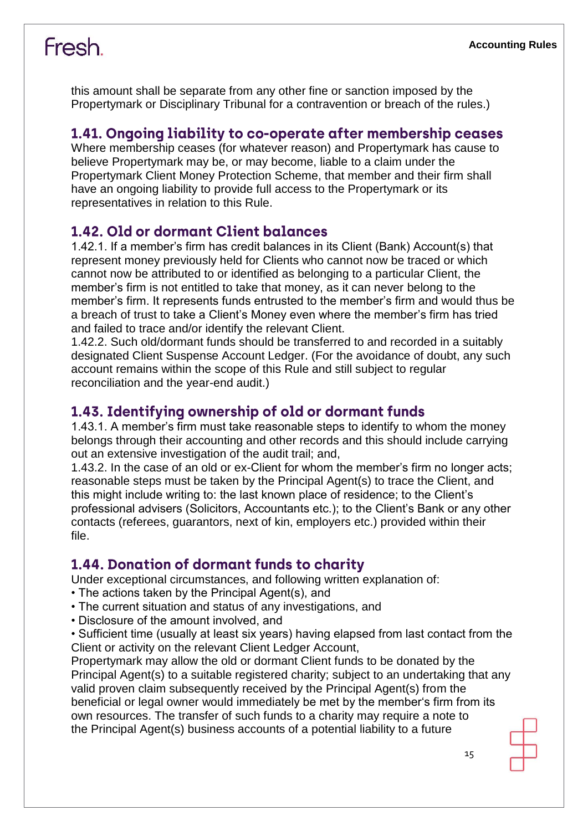this amount shall be separate from any other fine or sanction imposed by the Propertymark or Disciplinary Tribunal for a contravention or breach of the rules.)

#### 1.41. Ongoing liability to co-operate after membership ceases

Where membership ceases (for whatever reason) and Propertymark has cause to believe Propertymark may be, or may become, liable to a claim under the Propertymark Client Money Protection Scheme, that member and their firm shall have an ongoing liability to provide full access to the Propertymark or its representatives in relation to this Rule.

#### 1.42. Old or dormant Client balances

1.42.1. If a member's firm has credit balances in its Client (Bank) Account(s) that represent money previously held for Clients who cannot now be traced or which cannot now be attributed to or identified as belonging to a particular Client, the member's firm is not entitled to take that money, as it can never belong to the member's firm. It represents funds entrusted to the member's firm and would thus be a breach of trust to take a Client's Money even where the member's firm has tried and failed to trace and/or identify the relevant Client.

1.42.2. Such old/dormant funds should be transferred to and recorded in a suitably designated Client Suspense Account Ledger. (For the avoidance of doubt, any such account remains within the scope of this Rule and still subject to regular reconciliation and the year-end audit.)

#### 1.43. Identifying ownership of old or dormant funds

1.43.1. A member's firm must take reasonable steps to identify to whom the money belongs through their accounting and other records and this should include carrying out an extensive investigation of the audit trail; and,

1.43.2. In the case of an old or ex-Client for whom the member's firm no longer acts; reasonable steps must be taken by the Principal Agent(s) to trace the Client, and this might include writing to: the last known place of residence; to the Client's professional advisers (Solicitors, Accountants etc.); to the Client's Bank or any other contacts (referees, guarantors, next of kin, employers etc.) provided within their file.

#### **1.44. Donation of dormant funds to charity**

Under exceptional circumstances, and following written explanation of:

- The actions taken by the Principal Agent(s), and
- The current situation and status of any investigations, and
- Disclosure of the amount involved, and
- Sufficient time (usually at least six years) having elapsed from last contact from the Client or activity on the relevant Client Ledger Account,

Propertymark may allow the old or dormant Client funds to be donated by the Principal Agent(s) to a suitable registered charity; subject to an undertaking that any valid proven claim subsequently received by the Principal Agent(s) from the beneficial or legal owner would immediately be met by the member's firm from its own resources. The transfer of such funds to a charity may require a note to the Principal Agent(s) business accounts of a potential liability to a future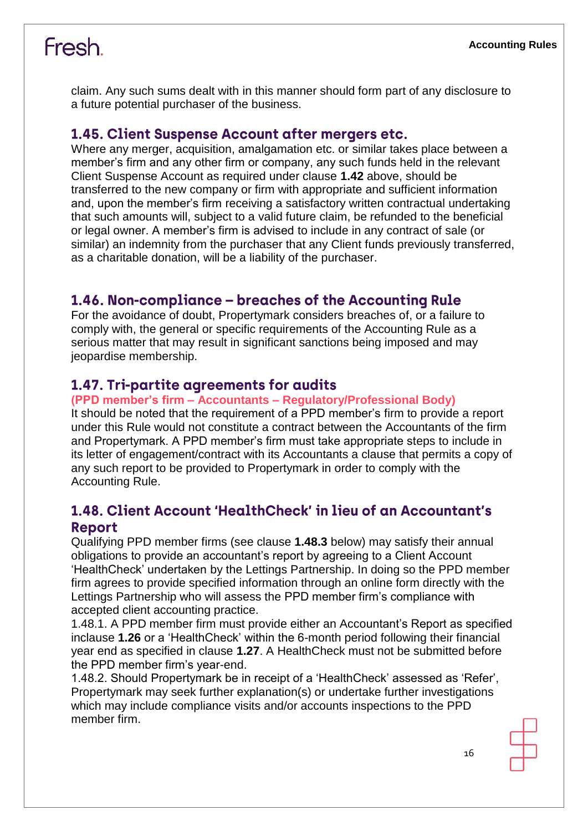claim. Any such sums dealt with in this manner should form part of any disclosure to a future potential purchaser of the business.

#### 1.45. Client Suspense Account after mergers etc.

Where any merger, acquisition, amalgamation etc. or similar takes place between a member's firm and any other firm or company, any such funds held in the relevant Client Suspense Account as required under clause **1.42** above, should be transferred to the new company or firm with appropriate and sufficient information and, upon the member's firm receiving a satisfactory written contractual undertaking that such amounts will, subject to a valid future claim, be refunded to the beneficial or legal owner. A member's firm is advised to include in any contract of sale (or similar) an indemnity from the purchaser that any Client funds previously transferred, as a charitable donation, will be a liability of the purchaser.

#### 1.46. Non-compliance – breaches of the Accounting Rule

For the avoidance of doubt, Propertymark considers breaches of, or a failure to comply with, the general or specific requirements of the Accounting Rule as a serious matter that may result in significant sanctions being imposed and may jeopardise membership.

#### 1.47. Tri-partite agreements for audits

#### **(PPD member's firm – Accountants – Regulatory/Professional Body)**

It should be noted that the requirement of a PPD member's firm to provide a report under this Rule would not constitute a contract between the Accountants of the firm and Propertymark. A PPD member's firm must take appropriate steps to include in its letter of engagement/contract with its Accountants a clause that permits a copy of any such report to be provided to Propertymark in order to comply with the Accounting Rule.

#### 1.48. Client Account 'HealthCheck' in lieu of an Accountant's **Report**

Qualifying PPD member firms (see clause **1.48.3** below) may satisfy their annual obligations to provide an accountant's report by agreeing to a Client Account 'HealthCheck' undertaken by the Lettings Partnership. In doing so the PPD member firm agrees to provide specified information through an online form directly with the Lettings Partnership who will assess the PPD member firm's compliance with accepted client accounting practice.

1.48.1. A PPD member firm must provide either an Accountant's Report as specified inclause **1.26** or a 'HealthCheck' within the 6-month period following their financial year end as specified in clause **1.27**. A HealthCheck must not be submitted before the PPD member firm's year-end.

1.48.2. Should Propertymark be in receipt of a 'HealthCheck' assessed as 'Refer', Propertymark may seek further explanation(s) or undertake further investigations which may include compliance visits and/or accounts inspections to the PPD member firm.